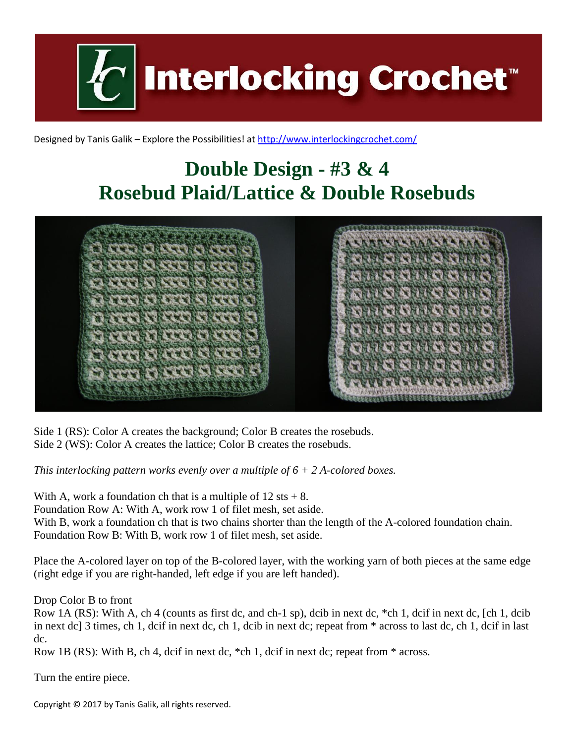**Interlocking Crochet™** 

Designed by Tanis Galik – Explore the Possibilities! a[t http://www.interlockingcrochet.com/](http://www.interlockingcrochet.com/)

## **Double Design - #3 & 4 Rosebud Plaid/Lattice & Double Rosebuds**



Side 1 (RS): Color A creates the background; Color B creates the rosebuds. Side 2 (WS): Color A creates the lattice; Color B creates the rosebuds.

*This interlocking pattern works evenly over a multiple of 6 + 2 A-colored boxes.*

With A, work a foundation ch that is a multiple of  $12 \text{ sts} + 8$ .

Foundation Row A: With A, work row 1 of filet mesh, set aside.

With B, work a foundation ch that is two chains shorter than the length of the A-colored foundation chain. Foundation Row B: With B, work row 1 of filet mesh, set aside.

Place the A-colored layer on top of the B-colored layer, with the working yarn of both pieces at the same edge (right edge if you are right-handed, left edge if you are left handed).

Drop Color B to front

Row 1A (RS): With A, ch 4 (counts as first dc, and ch-1 sp), dcib in next dc, \*ch 1, dcif in next dc, [ch 1, dcib in next dc] 3 times, ch 1, dcif in next dc, ch 1, dcib in next dc; repeat from \* across to last dc, ch 1, dcif in last dc.

Row 1B (RS): With B, ch 4, dcif in next dc, \*ch 1, dcif in next dc; repeat from \* across.

Turn the entire piece.

Copyright © 2017 by Tanis Galik, all rights reserved.